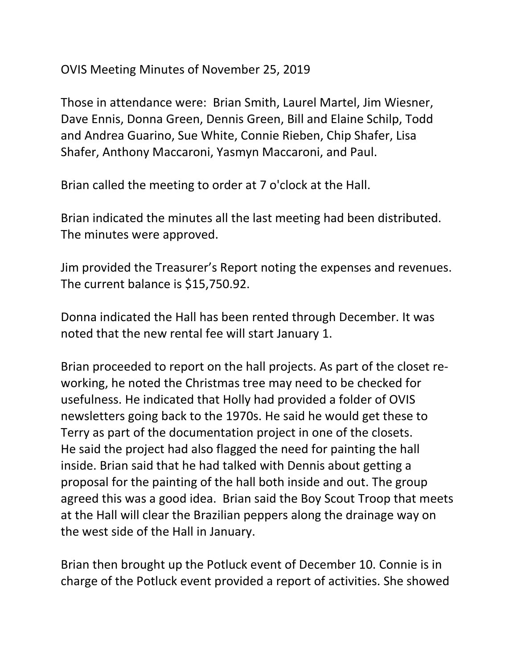OVIS Meeting Minutes of November 25, 2019

Those in attendance were: Brian Smith, Laurel Martel, Jim Wiesner, Dave Ennis, Donna Green, Dennis Green, Bill and Elaine Schilp, Todd and Andrea Guarino, Sue White, Connie Rieben, Chip Shafer, Lisa Shafer, Anthony Maccaroni, Yasmyn Maccaroni, and Paul.

Brian called the meeting to order at 7 o'clock at the Hall.

Brian indicated the minutes all the last meeting had been distributed. The minutes were approved.

Jim provided the Treasurer's Report noting the expenses and revenues. The current balance is \$15,750.92.

Donna indicated the Hall has been rented through December. It was noted that the new rental fee will start January 1.

Brian proceeded to report on the hall projects. As part of the closet reworking, he noted the Christmas tree may need to be checked for usefulness. He indicated that Holly had provided a folder of OVIS newsletters going back to the 1970s. He said he would get these to Terry as part of the documentation project in one of the closets. He said the project had also flagged the need for painting the hall inside. Brian said that he had talked with Dennis about getting a proposal for the painting of the hall both inside and out. The group agreed this was a good idea. Brian said the Boy Scout Troop that meets at the Hall will clear the Brazilian peppers along the drainage way on the west side of the Hall in January.

Brian then brought up the Potluck event of December 10. Connie is in charge of the Potluck event provided a report of activities. She showed